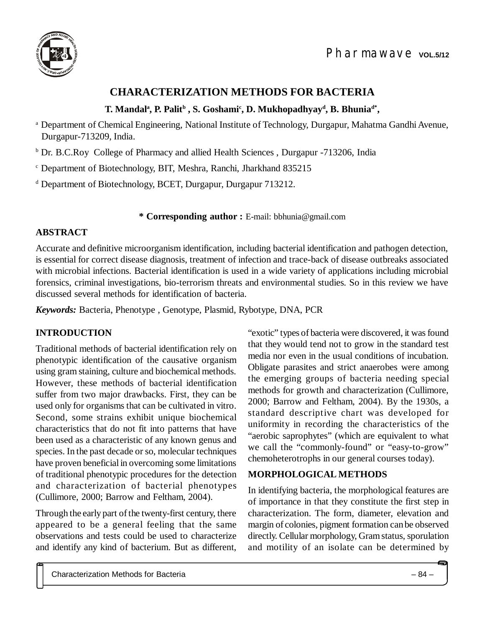

# **CHARACTERIZATION METHODS FOR BACTERIA**

## **T. Mandal<sup>a</sup> , P. Palit<sup>b</sup> , S. Goshami<sup>c</sup> , D. Mukhopadhyay<sup>d</sup> , B. Bhuniad\* ,**

<sup>a</sup> Department of Chemical Engineering, National Institute of Technology, Durgapur, Mahatma Gandhi Avenue, Durgapur-713209, India.

<sup>b</sup> Dr. B.C.Roy College of Pharmacy and allied Health Sciences, Durgapur -713206, India

<sup>c</sup> Department of Biotechnology, BIT, Meshra, Ranchi, Jharkhand 835215

<sup>d</sup> Department of Biotechnology, BCET, Durgapur, Durgapur 713212.

#### **\* Corresponding author :** E-mail: [bbhunia@gmail.com](mailto:bbhunia:@gmail.com)

#### **ABSTRACT**

Accurate and definitive microorganism identification, including bacterial identification and pathogen detection, is essential for correct disease diagnosis, treatment of infection and trace-back of disease outbreaks associated with microbial infections. Bacterial identification is used in a wide variety of applications including microbial forensics, criminal investigations, bio-terrorism threats and environmental studies. So in this review we have discussed several methods for identification of bacteria.

*Keywords:* Bacteria, Phenotype , Genotype, Plasmid, Rybotype, DNA, PCR

# **INTRODUCTION**

Traditional methods of bacterial identification rely on phenotypic identification of the causative organism using gram staining, culture and biochemical methods. However, these methods of bacterial identification suffer from two major drawbacks. First, they can be used only for organisms that can be cultivated in vitro. Second, some strains exhibit unique biochemical characteristics that do not fit into patterns that have been used as a characteristic of any known genus and species. In the past decade or so, molecular techniques have proven beneficial in overcoming some limitations of traditional phenotypic procedures for the detection and characterization of bacterial phenotypes (Cullimore, 2000; Barrow and Feltham, 2004).

Through the early part of the twenty-first century, there appeared to be a general feeling that the same observations and tests could be used to characterize and identify any kind of bacterium. But as different, "exotic" types of bacteria were discovered, it was found that they would tend not to grow in the standard test media nor even in the usual conditions of incubation. Obligate parasites and strict anaerobes were among the emerging groups of bacteria needing special methods for growth and characterization (Cullimore, 2000; Barrow and Feltham, 2004). By the 1930s, a standard descriptive chart was developed for uniformity in recording the characteristics of the "aerobic saprophytes" (which are equivalent to what we call the "commonly-found" or "easy-to-grow" chemoheterotrophs in our general courses today).

### **MORPHOLOGICAL METHODS**

In identifying bacteria, the morphological features are of importance in that they constitute the first step in characterization. The form, diameter, elevation and margin of colonies, pigment formation can be observed directly. Cellular morphology, Gram status, sporulation and motility of an isolate can be determined by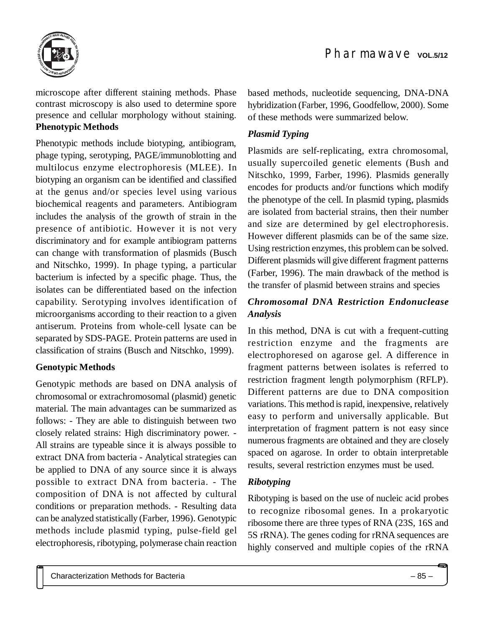

microscope after different staining methods. Phase contrast microscopy is also used to determine spore presence and cellular morphology without staining. **Phenotypic Methods**

Phenotypic methods include biotyping, antibiogram, phage typing, serotyping, PAGE/immunoblotting and multilocus enzyme electrophoresis (MLEE). In biotyping an organism can be identified and classified at the genus and/or species level using various biochemical reagents and parameters. Antibiogram includes the analysis of the growth of strain in the presence of antibiotic. However it is not very discriminatory and for example antibiogram patterns can change with transformation of plasmids (Busch and Nitschko, 1999). In phage typing, a particular bacterium is infected by a specific phage. Thus, the isolates can be differentiated based on the infection capability. Serotyping involves identification of microorganisms according to their reaction to a given antiserum. Proteins from whole-cell lysate can be separated by SDS-PAGE. Protein patterns are used in classification of strains (Busch and Nitschko, 1999).

#### **Genotypic Methods**

Genotypic methods are based on DNA analysis of chromosomal or extrachromosomal (plasmid) genetic material. The main advantages can be summarized as follows: - They are able to distinguish between two closely related strains: High discriminatory power. - All strains are typeable since it is always possible to extract DNA from bacteria - Analytical strategies can be applied to DNA of any source since it is always possible to extract DNA from bacteria. - The composition of DNA is not affected by cultural conditions or preparation methods. - Resulting data can be analyzed statistically (Farber, 1996). Genotypic methods include plasmid typing, pulse-field gel electrophoresis, ribotyping, polymerase chain reaction based methods, nucleotide sequencing, DNA-DNA hybridization (Farber, 1996, Goodfellow, 2000). Some of these methods were summarized below.

#### *Plasmid Typing*

Plasmids are self-replicating, extra chromosomal, usually supercoiled genetic elements (Bush and Nitschko, 1999, Farber, 1996). Plasmids generally encodes for products and/or functions which modify the phenotype of the cell. In plasmid typing, plasmids are isolated from bacterial strains, then their number and size are determined by gel electrophoresis. However different plasmids can be of the same size. Using restriction enzymes, this problem can be solved. Different plasmids will give different fragment patterns (Farber, 1996). The main drawback of the method is the transfer of plasmid between strains and species

## *Chromosomal DNA Restriction Endonuclease Analysis*

In this method, DNA is cut with a frequent-cutting restriction enzyme and the fragments are electrophoresed on agarose gel. A difference in fragment patterns between isolates is referred to restriction fragment length polymorphism (RFLP). Different patterns are due to DNA composition variations. This method is rapid, inexpensive, relatively easy to perform and universally applicable. But interpretation of fragment pattern is not easy since numerous fragments are obtained and they are closely spaced on agarose. In order to obtain interpretable results, several restriction enzymes must be used.

### *Ribotyping*

Ribotyping is based on the use of nucleic acid probes to recognize ribosomal genes. In a prokaryotic ribosome there are three types of RNA (23S, 16S and 5S rRNA). The genes coding for rRNA sequences are highly conserved and multiple copies of the rRNA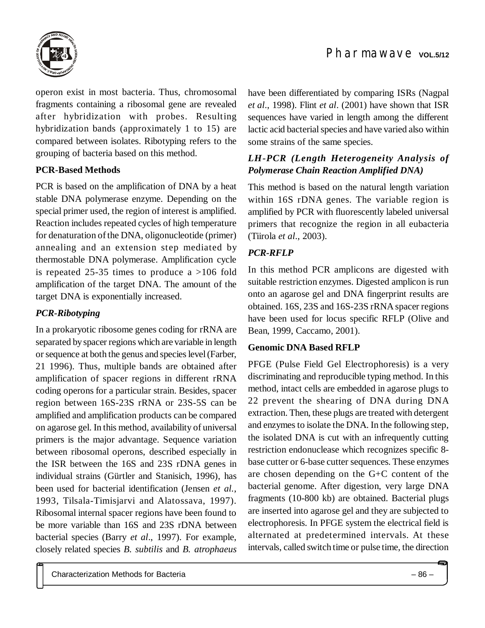

operon exist in most bacteria. Thus, chromosomal fragments containing a ribosomal gene are revealed after hybridization with probes. Resulting hybridization bands (approximately 1 to 15) are compared between isolates. Ribotyping refers to the grouping of bacteria based on this method.

### **PCR-Based Methods**

PCR is based on the amplification of DNA by a heat stable DNA polymerase enzyme. Depending on the special primer used, the region of interest is amplified. Reaction includes repeated cycles of high temperature for denaturation of the DNA, oligonucleotide (primer) annealing and an extension step mediated by thermostable DNA polymerase. Amplification cycle is repeated 25-35 times to produce a >106 fold amplification of the target DNA. The amount of the target DNA is exponentially increased.

#### *PCR-Ribotyping*

In a prokaryotic ribosome genes coding for rRNA are separated by spacer regions which are variable in length or sequence at both the genus and species level (Farber, 21 1996). Thus, multiple bands are obtained after amplification of spacer regions in different rRNA coding operons for a particular strain. Besides, spacer region between 16S-23S rRNA or 23S-5S can be amplified and amplification products can be compared on agarose gel. In this method, availability of universal primers is the major advantage. Sequence variation between ribosomal operons, described especially in the ISR between the 16S and 23S rDNA genes in individual strains (Gürtler and Stanisich, 1996), has been used for bacterial identification (Jensen *et al.*, 1993, Tilsala-Timisjarvi and Alatossava, 1997). Ribosomal internal spacer regions have been found to be more variable than 16S and 23S rDNA between bacterial species (Barry *et al*., 1997). For example, closely related species *B. subtilis* and *B. atrophaeus* have been differentiated by comparing ISRs (Nagpal *et al*., 1998). Flint *et al*. (2001) have shown that ISR sequences have varied in length among the different lactic acid bacterial species and have varied also within some strains of the same species.

## *LH-PCR (Length Heterogeneity Analysis of Polymerase Chain Reaction Amplified DNA)*

This method is based on the natural length variation within 16S rDNA genes. The variable region is amplified by PCR with fluorescently labeled universal primers that recognize the region in all eubacteria (Tiirola *et al*., 2003).

## *PCR-RFLP*

In this method PCR amplicons are digested with suitable restriction enzymes. Digested amplicon is run onto an agarose gel and DNA fingerprint results are obtained. 16S, 23S and 16S-23S rRNA spacer regions have been used for locus specific RFLP (Olive and Bean, 1999, Caccamo, 2001).

#### **Genomic DNA Based RFLP**

PFGE (Pulse Field Gel Electrophoresis) is a very discriminating and reproducible typing method. In this method, intact cells are embedded in agarose plugs to 22 prevent the shearing of DNA during DNA extraction. Then, these plugs are treated with detergent and enzymes to isolate the DNA. In the following step, the isolated DNA is cut with an infrequently cutting restriction endonuclease which recognizes specific 8 base cutter or 6-base cutter sequences. These enzymes are chosen depending on the G+C content of the bacterial genome. After digestion, very large DNA fragments (10-800 kb) are obtained. Bacterial plugs are inserted into agarose gel and they are subjected to electrophoresis. In PFGE system the electrical field is alternated at predetermined intervals. At these intervals, called switch time or pulse time, the direction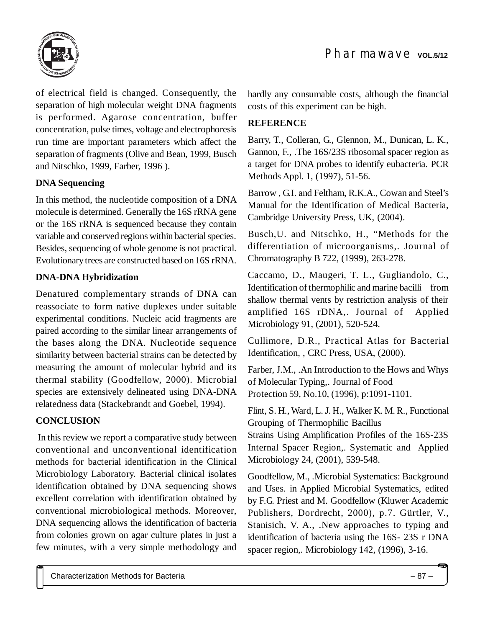

of electrical field is changed. Consequently, the separation of high molecular weight DNA fragments is performed. Agarose concentration, buffer concentration, pulse times, voltage and electrophoresis run time are important parameters which affect the separation of fragments (Olive and Bean, 1999, Busch and Nitschko, 1999, Farber, 1996 ).

## **DNA Sequencing**

In this method, the nucleotide composition of a DNA molecule is determined. Generally the 16S rRNA gene or the 16S rRNA is sequenced because they contain variable and conserved regions within bacterial species. Besides, sequencing of whole genome is not practical. Evolutionary trees are constructed based on 16S rRNA.

#### **DNA-DNA Hybridization**

Denatured complementary strands of DNA can reassociate to form native duplexes under suitable experimental conditions. Nucleic acid fragments are paired according to the similar linear arrangements of the bases along the DNA. Nucleotide sequence similarity between bacterial strains can be detected by measuring the amount of molecular hybrid and its thermal stability (Goodfellow, 2000). Microbial species are extensively delineated using DNA-DNA relatedness data (Stackebrandt and Goebel, 1994).

### **CONCLUSION**

 In this review we report a comparative study between conventional and unconventional identification methods for bacterial identification in the Clinical Microbiology Laboratory. Bacterial clinical isolates identification obtained by DNA sequencing shows excellent correlation with identification obtained by conventional microbiological methods. Moreover, DNA sequencing allows the identification of bacteria from colonies grown on agar culture plates in just a few minutes, with a very simple methodology and hardly any consumable costs, although the financial costs of this experiment can be high.

#### **REFERENCE**

Barry, T., Colleran, G., Glennon, M., Dunican, L. K., Gannon, F., .The 16S/23S ribosomal spacer region as a target for DNA probes to identify eubacteria. PCR Methods Appl. 1, (1997), 51-56.

Barrow , G.I. and Feltham, R.K.A., Cowan and Steel's Manual for the Identification of Medical Bacteria, Cambridge University Press, UK, (2004).

Busch,U. and Nitschko, H., "Methods for the differentiation of microorganisms,. Journal of Chromatography B 722, (1999), 263-278.

Caccamo, D., Maugeri, T. L., Gugliandolo, C., Identification of thermophilic and marine bacilli from shallow thermal vents by restriction analysis of their amplified 16S rDNA,. Journal of Applied Microbiology 91, (2001), 520-524.

Cullimore, D.R., Practical Atlas for Bacterial Identification, , CRC Press, USA, (2000).

Farber, J.M., .An Introduction to the Hows and Whys of Molecular Typing,. Journal of Food Protection 59, No.10, (1996), p:1091-1101.

Flint, S. H., Ward, L. J. H., Walker K. M. R., Functional Grouping of Thermophilic Bacillus

Strains Using Amplification Profiles of the 16S-23S Internal Spacer Region,. Systematic and Applied Microbiology 24, (2001), 539-548.

Goodfellow, M., .Microbial Systematics: Background and Uses. in Applied Microbial Systematics, edited by F.G. Priest and M. Goodfellow (Kluwer Academic Publishers, Dordrecht, 2000), p.7. Gürtler, V., Stanisich, V. A., .New approaches to typing and identification of bacteria using the 16S- 23S r DNA spacer region,. Microbiology 142, (1996), 3-16.